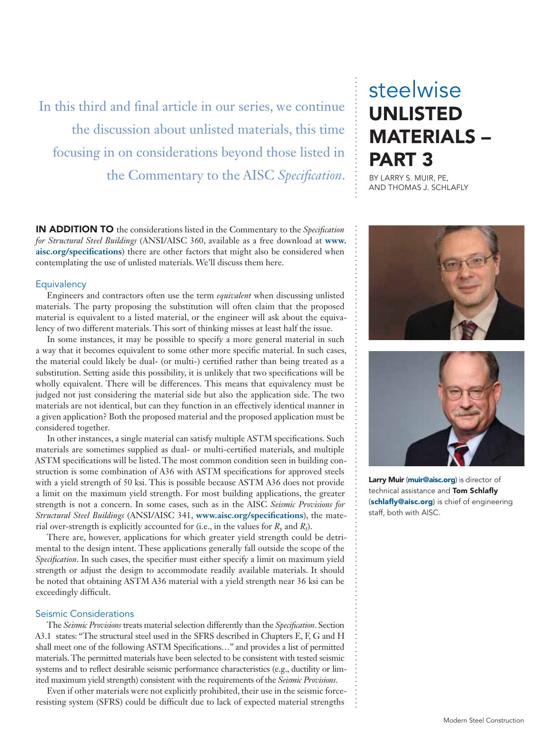In this third and final article in our series, we continue the discussion about unlisted materials, this time focusing in on considerations beyond those listed in the Commentary to the AISC *Specification*.

IN ADDITION TO the considerations listed in the Commentary to the *Specification for Structural Steel Buildings* (ANSI/AISC 360, available as a free download at **www. aisc.org/specifications**) there are other factors that might also be considered when contemplating the use of unlisted materials. We'll discuss them here.

### **Equivalency**

Engineers and contractors often use the term *equivalent* when discussing unlisted materials. The party proposing the substitution will often claim that the proposed material is equivalent to a listed material, or the engineer will ask about the equivalency of two different materials. This sort of thinking misses at least half the issue.

In some instances, it may be possible to specify a more general material in such a way that it becomes equivalent to some other more specific material. In such cases, the material could likely be dual- (or multi-) certified rather than being treated as a substitution. Setting aside this possibility, it is unlikely that two specifications will be wholly equivalent. There will be differences. This means that equivalency must be judged not just considering the material side but also the application side. The two materials are not identical, but can they function in an effectively identical manner in a given application? Both the proposed material and the proposed application must be considered together.

In other instances, a single material can satisfy multiple ASTM specifications. Such materials are sometimes supplied as dual- or multi-certified materials, and multiple ASTM specifications will be listed. The most common condition seen in building construction is some combination of A36 with ASTM specifications for approved steels with a yield strength of 50 ksi. This is possible because ASTM A36 does not provide a limit on the maximum yield strength. For most building applications, the greater strength is not a concern. In some cases, such as in the AISC *Seismic Provisions for Structural Steel Buildings* (ANSI/AISC 341, **www.aisc.org/specifications**), the material over-strength is explicitly accounted for (i.e., in the values for *Ry* and *Rt*).

There are, however, applications for which greater yield strength could be detrimental to the design intent. These applications generally fall outside the scope of the *Specification*. In such cases, the specifier must either specify a limit on maximum yield strength or adjust the design to accommodate readily available materials. It should be noted that obtaining ASTM A36 material with a yield strength near 36 ksi can be exceedingly difficult.

# Seismic Considerations

The *Seismic Provisions* treats material selection differently than the *Specification*. Section A3.1 states: "The structural steel used in the SFRS described in Chapters E, F, G and H shall meet one of the following ASTM Specifications…" and provides a list of permitted materials. The permitted materials have been selected to be consistent with tested seismic systems and to reflect desirable seismic performance characteristics (e.g., ductility or limited maximum yield strength) consistent with the requirements of the *Seismic Provisions*.

Even if other materials were not explicitly prohibited, their use in the seismic forceresisting system (SFRS) could be difficult due to lack of expected material strengths

# steelwise UNLISTED MATERIALS – PART 3

BY LARRY S. MUIR, PE, AND THOMAS J. SCHLAFLY





Larry Muir (muir@aisc.org) is director of technical assistance and Tom Schlafly (schlafly@aisc.org) is chief of engineering staff, both with AISC.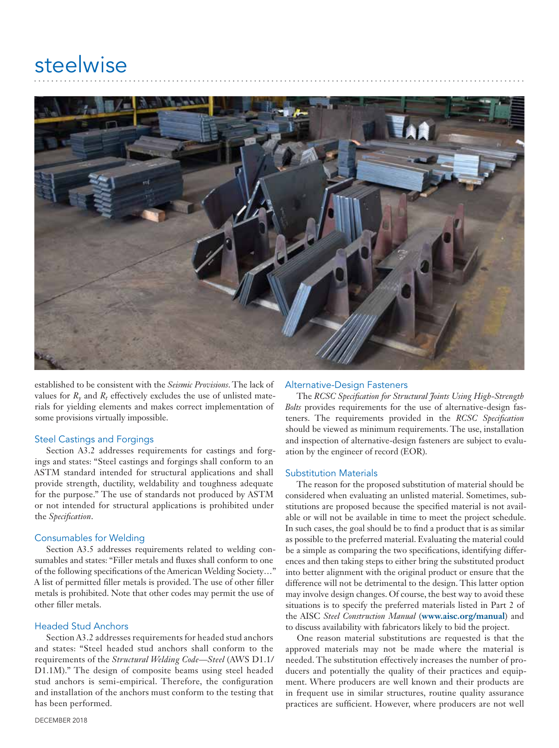

established to be consistent with the *Seismic Provisions*. The lack of values for  $R_v$  and  $R_t$  effectively excludes the use of unlisted materials for yielding elements and makes correct implementation of some provisions virtually impossible.

### Steel Castings and Forgings

Section A3.2 addresses requirements for castings and forgings and states: "Steel castings and forgings shall conform to an ASTM standard intended for structural applications and shall provide strength, ductility, weldability and toughness adequate for the purpose." The use of standards not produced by ASTM or not intended for structural applications is prohibited under the *Specification*.

# Consumables for Welding

Section A3.5 addresses requirements related to welding consumables and states: "Filler metals and fluxes shall conform to one of the following specifications of the American Welding Society…" A list of permitted filler metals is provided. The use of other filler metals is prohibited. Note that other codes may permit the use of other filler metals.

# Headed Stud Anchors

Section A3.2 addresses requirements for headed stud anchors and states: "Steel headed stud anchors shall conform to the requirements of the *Structural Welding Code—Steel* (AWS D1.1/ D1.1M)." The design of composite beams using steel headed stud anchors is semi-empirical. Therefore, the configuration and installation of the anchors must conform to the testing that has been performed.

### Alternative-Design Fasteners

The *RCSC Specification for Structural Joints Using High-Strength Bolts* provides requirements for the use of alternative-design fasteners. The requirements provided in the *RCSC Specification* should be viewed as minimum requirements. The use, installation and inspection of alternative-design fasteners are subject to evaluation by the engineer of record (EOR).

### Substitution Materials

The reason for the proposed substitution of material should be considered when evaluating an unlisted material. Sometimes, substitutions are proposed because the specified material is not available or will not be available in time to meet the project schedule. In such cases, the goal should be to find a product that is as similar as possible to the preferred material. Evaluating the material could be a simple as comparing the two specifications, identifying differences and then taking steps to either bring the substituted product into better alignment with the original product or ensure that the difference will not be detrimental to the design. This latter option may involve design changes. Of course, the best way to avoid these situations is to specify the preferred materials listed in Part 2 of the AISC *Steel Construction Manual* (**www.aisc.org/manual**) and to discuss availability with fabricators likely to bid the project.

One reason material substitutions are requested is that the approved materials may not be made where the material is needed. The substitution effectively increases the number of producers and potentially the quality of their practices and equipment. Where producers are well known and their products are in frequent use in similar structures, routine quality assurance practices are sufficient. However, where producers are not well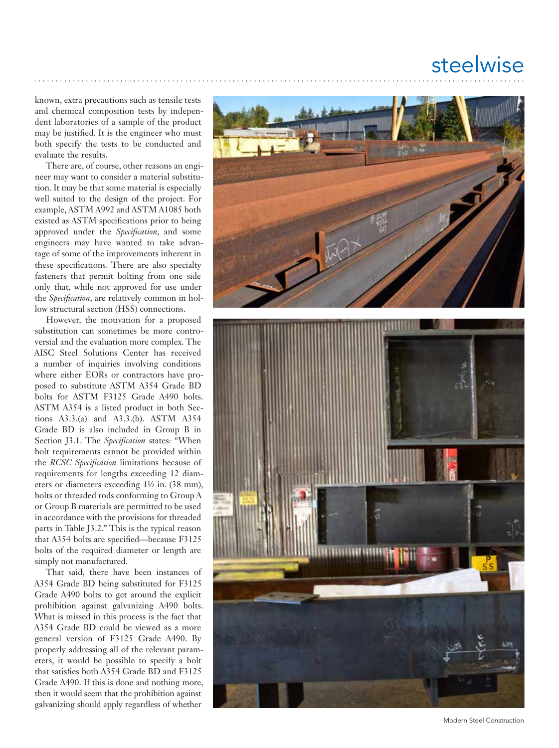# steelwise

known, extra precautions such as tensile tests and chemical composition tests by indepen dent laboratories of a sample of the product may be justified. It is the engineer who must both specify the tests to be conducted and evaluate the results.

There are, of course, other reasons an engi neer may want to consider a material substitu tion. It may be that some material is especially well suited to the design of the project. For example, ASTM A992 and ASTM A1085 both existed as ASTM specifications prior to being approved under the *Specification*, and some engineers may have wanted to take advan tage of some of the improvements inherent in these specifications. There are also specialty fasteners that permit bolting from one side only that, while not approved for use under the *Specification*, are relatively common in hol low structural section (HSS) connections.

However, the motivation for a proposed substitution can sometimes be more contro versial and the evaluation more complex. The AISC Steel Solutions Center has received a number of inquiries involving conditions where either EORs or contractors have pro posed to substitute ASTM A354 Grade BD bolts for ASTM F3125 Grade A490 bolts. ASTM A354 is a listed product in both Sec tions A3.3.(a) and A3.3.(b). ASTM A354 Grade BD is also included in Group B in Section J3.1. The *Specification* states: "When bolt requirements cannot be provided within the *RCSC Specification* limitations because of requirements for lengths exceeding 12 diam eters or diameters exceeding 1½ in. (38 mm), bolts or threaded rods conforming to Group A or Group B materials are permitted to be used in accordance with the provisions for threaded parts in Table J3.2." This is the typical reason that A354 bolts are specified—because F3125 bolts of the required diameter or length are simply not manufactured.

That said, there have been instances of A354 Grade BD being substituted for F3125 Grade A490 bolts to get around the explicit prohibition against galvanizing A490 bolts. What is missed in this process is the fact that A354 Grade BD could be viewed as a more general version of F3125 Grade A490. By properly addressing all of the relevant param eters, it would be possible to specify a bolt that satisfies both A354 Grade BD and F3125 Grade A490. If this is done and nothing more, then it would seem that the prohibition against galvanizing should apply regardless of whether



Modern Steel Construction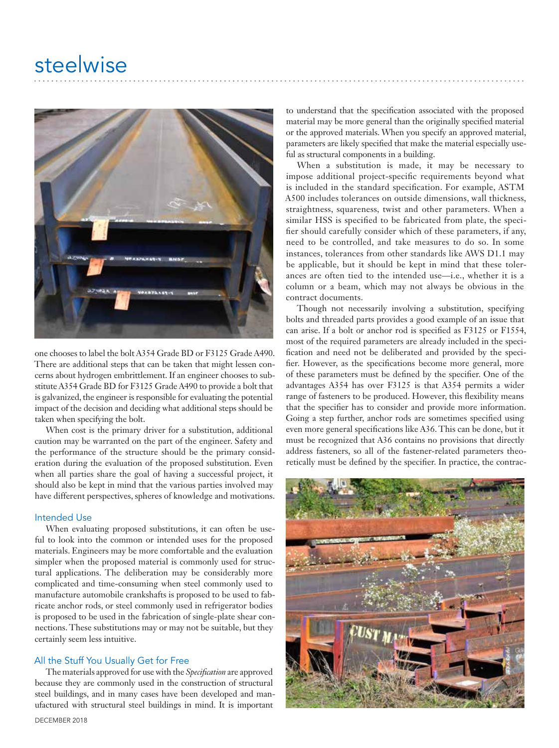

one chooses to label the bolt A354 Grade BD or F3125 Grade A490. There are additional steps that can be taken that might lessen concerns about hydrogen embrittlement. If an engineer chooses to substitute A354 Grade BD for F3125 Grade A490 to provide a bolt that is galvanized, the engineer is responsible for evaluating the potential impact of the decision and deciding what additional steps should be taken when specifying the bolt.

When cost is the primary driver for a substitution, additional caution may be warranted on the part of the engineer. Safety and the performance of the structure should be the primary consideration during the evaluation of the proposed substitution. Even when all parties share the goal of having a successful project, it should also be kept in mind that the various parties involved may have different perspectives, spheres of knowledge and motivations.

### Intended Use

When evaluating proposed substitutions, it can often be useful to look into the common or intended uses for the proposed materials. Engineers may be more comfortable and the evaluation simpler when the proposed material is commonly used for structural applications. The deliberation may be considerably more complicated and time-consuming when steel commonly used to manufacture automobile crankshafts is proposed to be used to fabricate anchor rods, or steel commonly used in refrigerator bodies is proposed to be used in the fabrication of single-plate shear connections. These substitutions may or may not be suitable, but they certainly seem less intuitive.

### All the Stuff You Usually Get for Free

The materials approved for use with the *Specification* are approved because they are commonly used in the construction of structural steel buildings, and in many cases have been developed and manufactured with structural steel buildings in mind. It is important

to understand that the specification associated with the proposed material may be more general than the originally specified material or the approved materials. When you specify an approved material, parameters are likely specified that make the material especially useful as structural components in a building.

When a substitution is made, it may be necessary to impose additional project-specific requirements beyond what is included in the standard specification. For example, ASTM A500 includes tolerances on outside dimensions, wall thickness, straightness, squareness, twist and other parameters. When a similar HSS is specified to be fabricated from plate, the specifier should carefully consider which of these parameters, if any, need to be controlled, and take measures to do so. In some instances, tolerances from other standards like AWS D1.1 may be applicable, but it should be kept in mind that these tolerances are often tied to the intended use—i.e., whether it is a column or a beam, which may not always be obvious in the contract documents.

Though not necessarily involving a substitution, specifying bolts and threaded parts provides a good example of an issue that can arise. If a bolt or anchor rod is specified as F3125 or F1554, most of the required parameters are already included in the specification and need not be deliberated and provided by the specifier. However, as the specifications become more general, more of these parameters must be defined by the specifier. One of the advantages A354 has over F3125 is that A354 permits a wider range of fasteners to be produced. However, this flexibility means that the specifier has to consider and provide more information. Going a step further, anchor rods are sometimes specified using even more general specifications like A36. This can be done, but it must be recognized that A36 contains no provisions that directly address fasteners, so all of the fastener-related parameters theoretically must be defined by the specifier. In practice, the contrac-

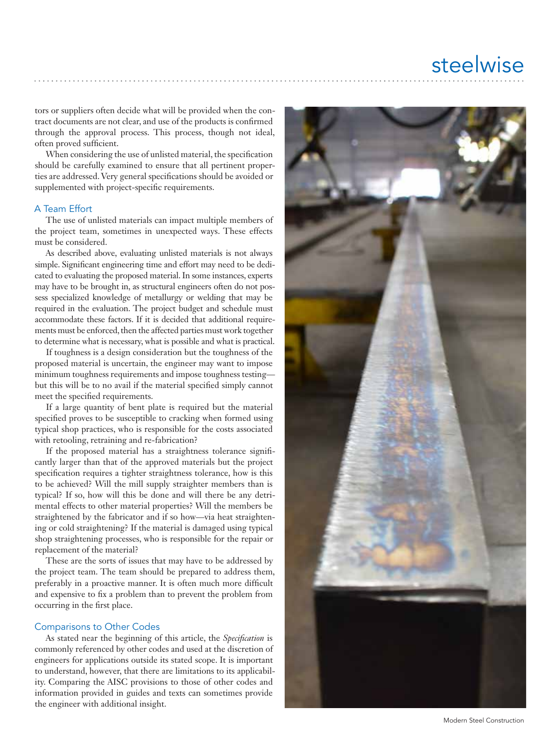tors or suppliers often decide what will be provided when the con tract documents are not clear, and use of the products is confirmed through the approval process. This process, though not ideal, often proved sufficient.

When considering the use of unlisted material, the specification should be carefully examined to ensure that all pertinent proper ties are addressed. Very general specifications should be avoided or supplemented with project-specific requirements.

## A Team Effort

The use of unlisted materials can impact multiple members of the project team, sometimes in unexpected ways. These effects must be considered.

As described above, evaluating unlisted materials is not always simple. Significant engineering time and effort may need to be dedi cated to evaluating the proposed material. In some instances, experts may have to be brought in, as structural engineers often do not pos sess specialized knowledge of metallurgy or welding that may be required in the evaluation. The project budget and schedule must accommodate these factors. If it is decided that additional require ments must be enforced, then the affected parties must work together to determine what is necessary, what is possible and what is practical.

If toughness is a design consideration but the toughness of the proposed material is uncertain, the engineer may want to impose minimum toughness requirements and impose toughness testing but this will be to no avail if the material specified simply cannot meet the specified requirements.

If a large quantity of bent plate is required but the material specified proves to be susceptible to cracking when formed using typical shop practices, who is responsible for the costs associated with retooling, retraining and re-fabrication?

If the proposed material has a straightness tolerance signifi cantly larger than that of the approved materials but the project specification requires a tighter straightness tolerance, how is this to be achieved? Will the mill supply straighter members than is typical? If so, how will this be done and will there be any detri mental effects to other material properties? Will the members be straightened by the fabricator and if so how—via heat straighten ing or cold straightening? If the material is damaged using typical shop straightening processes, who is responsible for the repair or replacement of the material?

These are the sorts of issues that may have to be addressed by the project team. The team should be prepared to address them, preferably in a proactive manner. It is often much more difficult and expensive to fix a problem than to prevent the problem from occurring in the first place.

### Comparisons to Other Codes

As stated near the beginning of this article, the *Specification* is commonly referenced by other codes and used at the discretion of engineers for applications outside its stated scope. It is important to understand, however, that there are limitations to its applicabil ity. Comparing the AISC provisions to those of other codes and information provided in guides and texts can sometimes provide the engineer with additional insight.



Modern Steel Construction